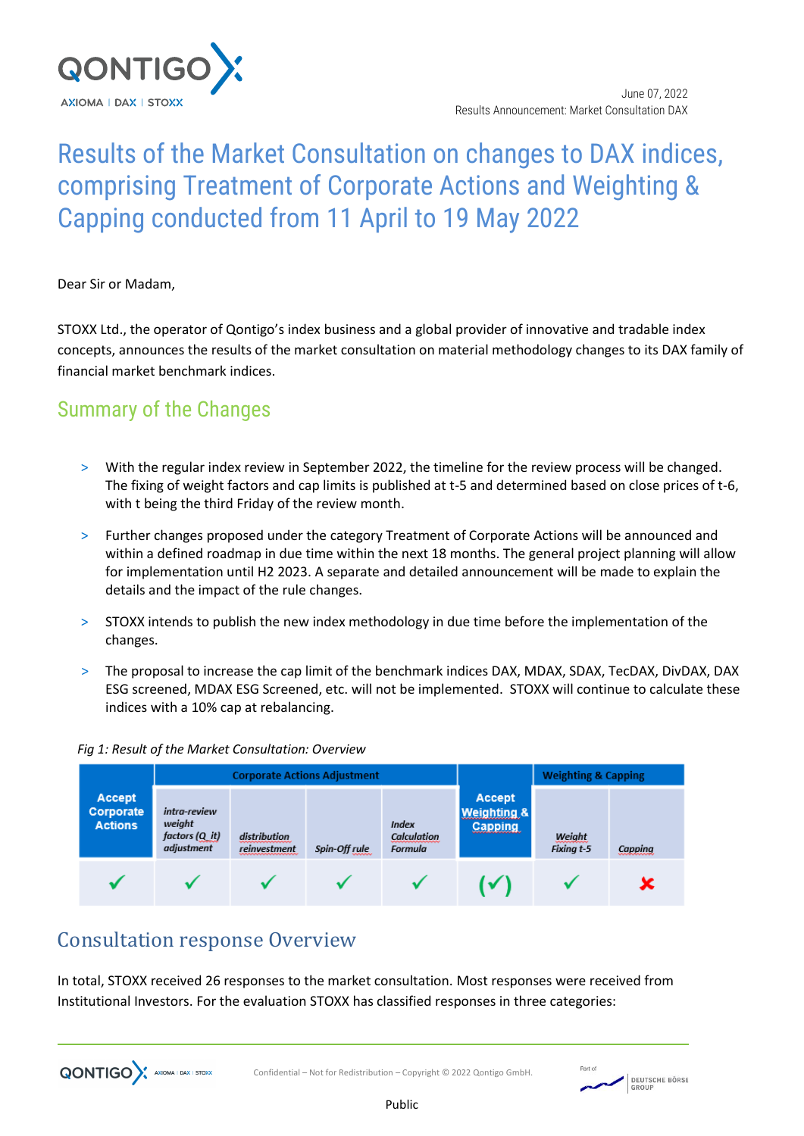

# Results of the Market Consultation on changes to DAX indices, comprising Treatment of Corporate Actions and Weighting & Capping conducted from 11 April to 19 May 2022

Dear Sir or Madam,

STOXX Ltd., the operator of Qontigo's index business and a global provider of innovative and tradable index concepts, announces the results of the market consultation on material methodology changes to its DAX family of financial market benchmark indices.

### Summary of the Changes

- > With the regular index review in September 2022, the timeline for the review process will be changed. The fixing of weight factors and cap limits is published at t-5 and determined based on close prices of t-6, with t being the third Friday of the review month.
- > Further changes proposed under the category Treatment of Corporate Actions will be announced and within a defined roadmap in due time within the next 18 months. The general project planning will allow for implementation until H2 2023. A separate and detailed announcement will be made to explain the details and the impact of the rule changes.
- > STOXX intends to publish the new index methodology in due time before the implementation of the changes.
- > The proposal to increase the cap limit of the benchmark indices DAX, MDAX, SDAX, TecDAX, DivDAX, DAX ESG screened, MDAX ESG Screened, etc. will not be implemented. STOXX will continue to calculate these indices with a 10% cap at rebalancing.



#### *Fig 1: Result of the Market Consultation: Overview*

### Consultation response Overview

In total, STOXX received 26 responses to the market consultation. Most responses were received from Institutional Investors. For the evaluation STOXX has classified responses in three categories:



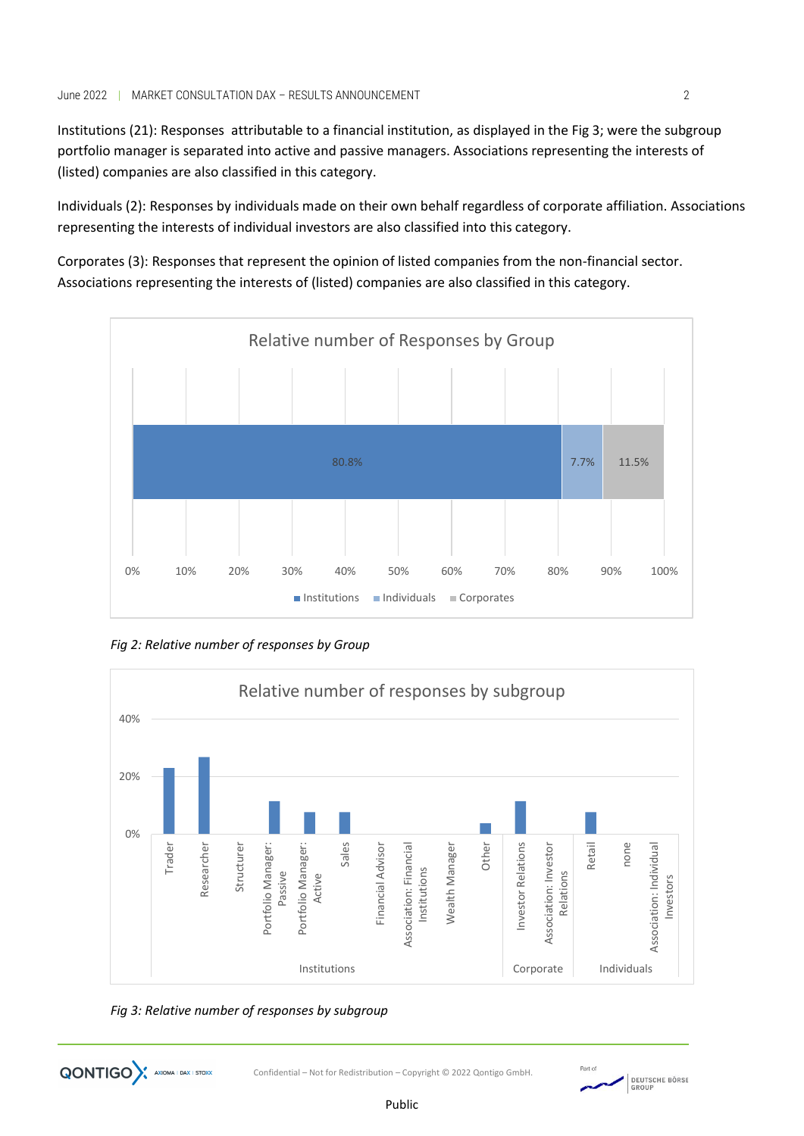Institutions (21): Responses attributable to a financial institution, as displayed in the Fig 3; were the subgroup portfolio manager is separated into active and passive managers. Associations representing the interests of (listed) companies are also classified in this category.

Individuals (2): Responses by individuals made on their own behalf regardless of corporate affiliation. Associations representing the interests of individual investors are also classified into this category.

Corporates (3): Responses that represent the opinion of listed companies from the non-financial sector. Associations representing the interests of (listed) companies are also classified in this category.



*Fig 2: Relative number of responses by Group*



Public



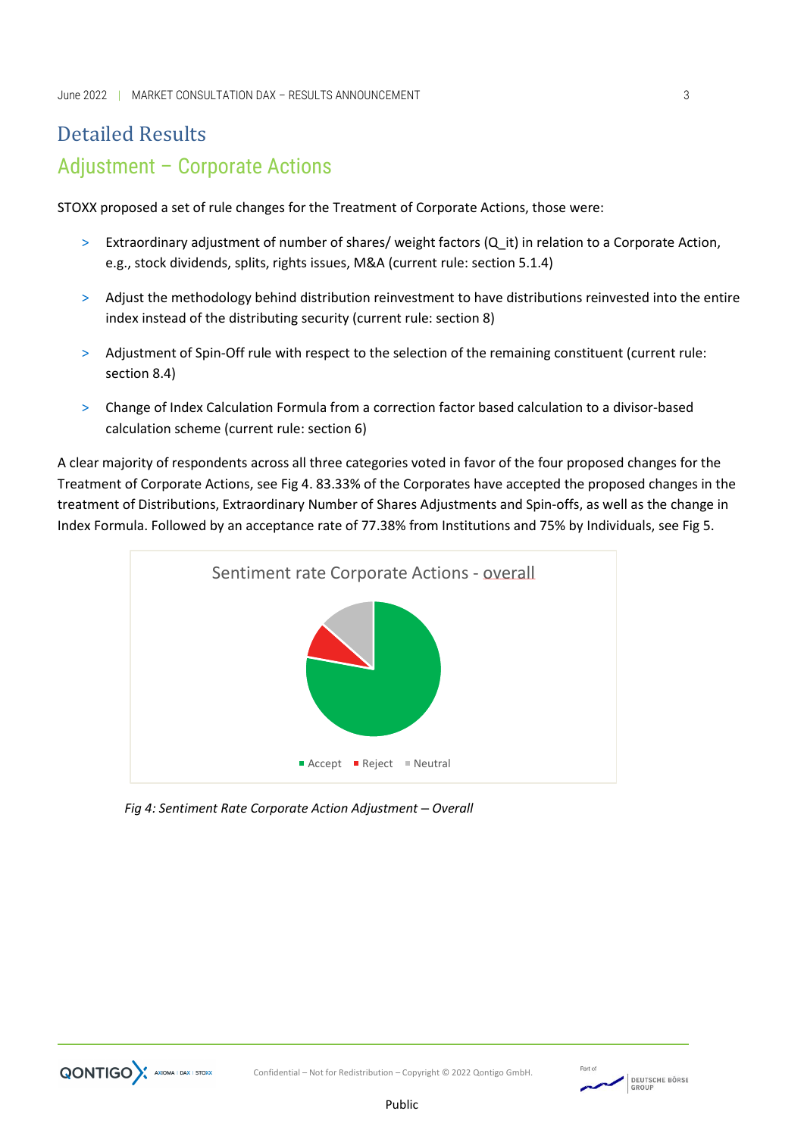# Detailed Results Adjustment – Corporate Actions

STOXX proposed a set of rule changes for the Treatment of Corporate Actions, those were:

- > Extraordinary adjustment of number of shares/ weight factors (Q\_it) in relation to a Corporate Action, e.g., stock dividends, splits, rights issues, M&A (current rule: section 5.1.4)
- > Adjust the methodology behind distribution reinvestment to have distributions reinvested into the entire index instead of the distributing security (current rule: section 8)
- > Adjustment of Spin-Off rule with respect to the selection of the remaining constituent (current rule: section 8.4)
- > Change of Index Calculation Formula from a correction factor based calculation to a divisor-based calculation scheme (current rule: section 6)

A clear majority of respondents across all three categories voted in favor of the four proposed changes for the Treatment of Corporate Actions, see Fig 4. 83.33% of the Corporates have accepted the proposed changes in the treatment of Distributions, Extraordinary Number of Shares Adjustments and Spin-offs, as well as the change in Index Formula. Followed by an acceptance rate of 77.38% from Institutions and 75% by Individuals, see Fig 5.



*Fig 4: Sentiment Rate Corporate Action Adjustment – Overall*

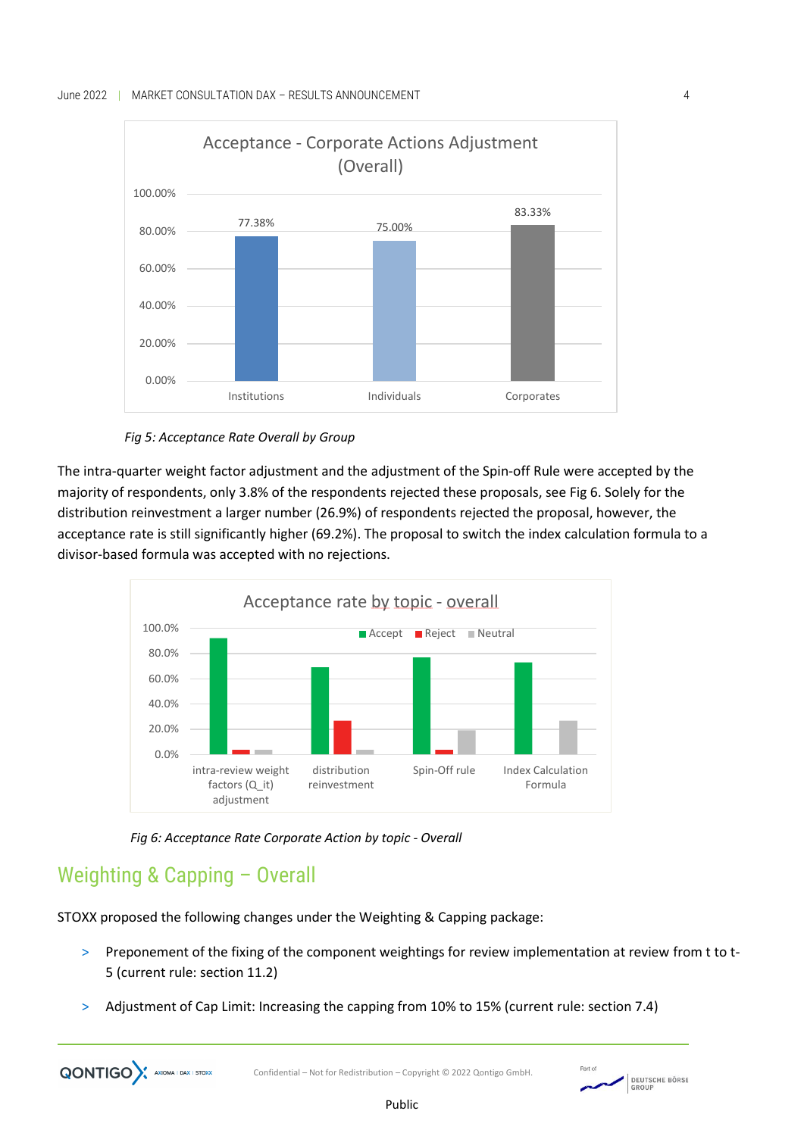



The intra-quarter weight factor adjustment and the adjustment of the Spin-off Rule were accepted by the majority of respondents, only 3.8% of the respondents rejected these proposals, see Fig 6. Solely for the distribution reinvestment a larger number (26.9%) of respondents rejected the proposal, however, the acceptance rate is still significantly higher (69.2%). The proposal to switch the index calculation formula to a divisor-based formula was accepted with no rejections.



*Fig 6: Acceptance Rate Corporate Action by topic - Overall*

## Weighting & Capping – Overall

**QONTIGO** AXIOMA I DAX I STOXX

STOXX proposed the following changes under the Weighting & Capping package:

- > Preponement of the fixing of the component weightings for review implementation at review from t to t-5 (current rule: section 11.2)
- Adjustment of Cap Limit: Increasing the capping from 10% to 15% (current rule: section 7.4)

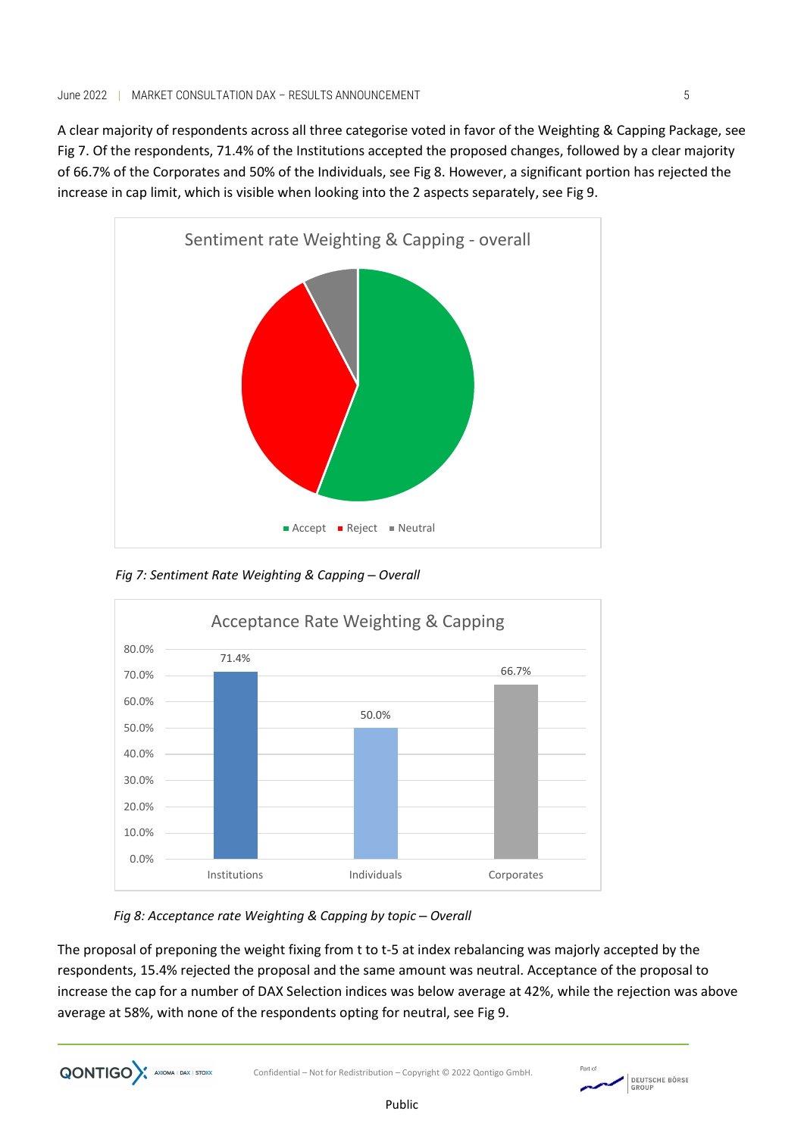A clear majority of respondents across all three categorise voted in favor of the Weighting & Capping Package, see Fig 7. Of the respondents, 71.4% of the Institutions accepted the proposed changes, followed by a clear majority of 66.7% of the Corporates and 50% of the Individuals, see Fig 8. However, a significant portion has rejected the increase in cap limit, which is visible when looking into the 2 aspects separately, see Fig 9.



*Fig 7: Sentiment Rate Weighting & Capping – Overall*



*Fig 8: Acceptance rate Weighting & Capping by topic – Overall*

**QONTIGO** AXIOMA I DAX I STOXX

The proposal of preponing the weight fixing from t to t-5 at index rebalancing was majorly accepted by the respondents, 15.4% rejected the proposal and the same amount was neutral. Acceptance of the proposal to increase the cap for a number of DAX Selection indices was below average at 42%, while the rejection was above average at 58%, with none of the respondents opting for neutral, see Fig 9.

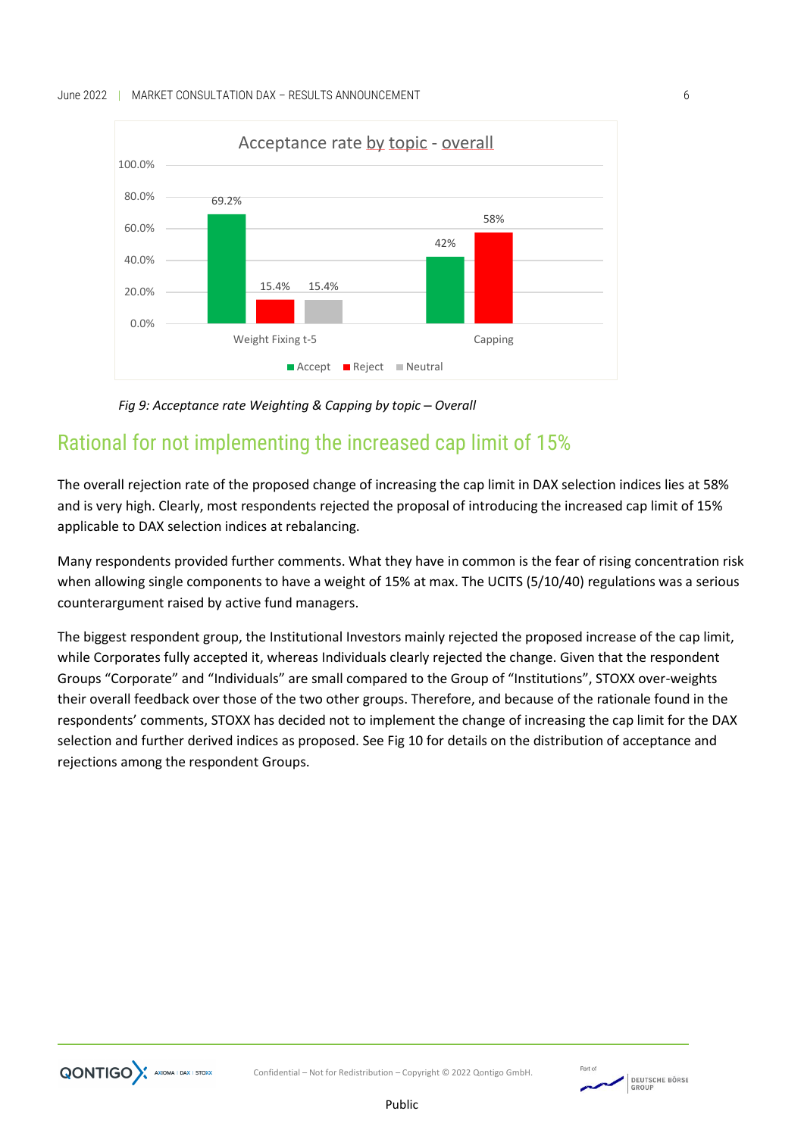

*Fig 9: Acceptance rate Weighting & Capping by topic – Overall*

### Rational for not implementing the increased cap limit of 15%

The overall rejection rate of the proposed change of increasing the cap limit in DAX selection indices lies at 58% and is very high. Clearly, most respondents rejected the proposal of introducing the increased cap limit of 15% applicable to DAX selection indices at rebalancing.

Many respondents provided further comments. What they have in common is the fear of rising concentration risk when allowing single components to have a weight of 15% at max. The UCITS (5/10/40) regulations was a serious counterargument raised by active fund managers.

The biggest respondent group, the Institutional Investors mainly rejected the proposed increase of the cap limit, while Corporates fully accepted it, whereas Individuals clearly rejected the change. Given that the respondent Groups "Corporate" and "Individuals" are small compared to the Group of "Institutions", STOXX over-weights their overall feedback over those of the two other groups. Therefore, and because of the rationale found in the respondents' comments, STOXX has decided not to implement the change of increasing the cap limit for the DAX selection and further derived indices as proposed. See Fig 10 for details on the distribution of acceptance and rejections among the respondent Groups.



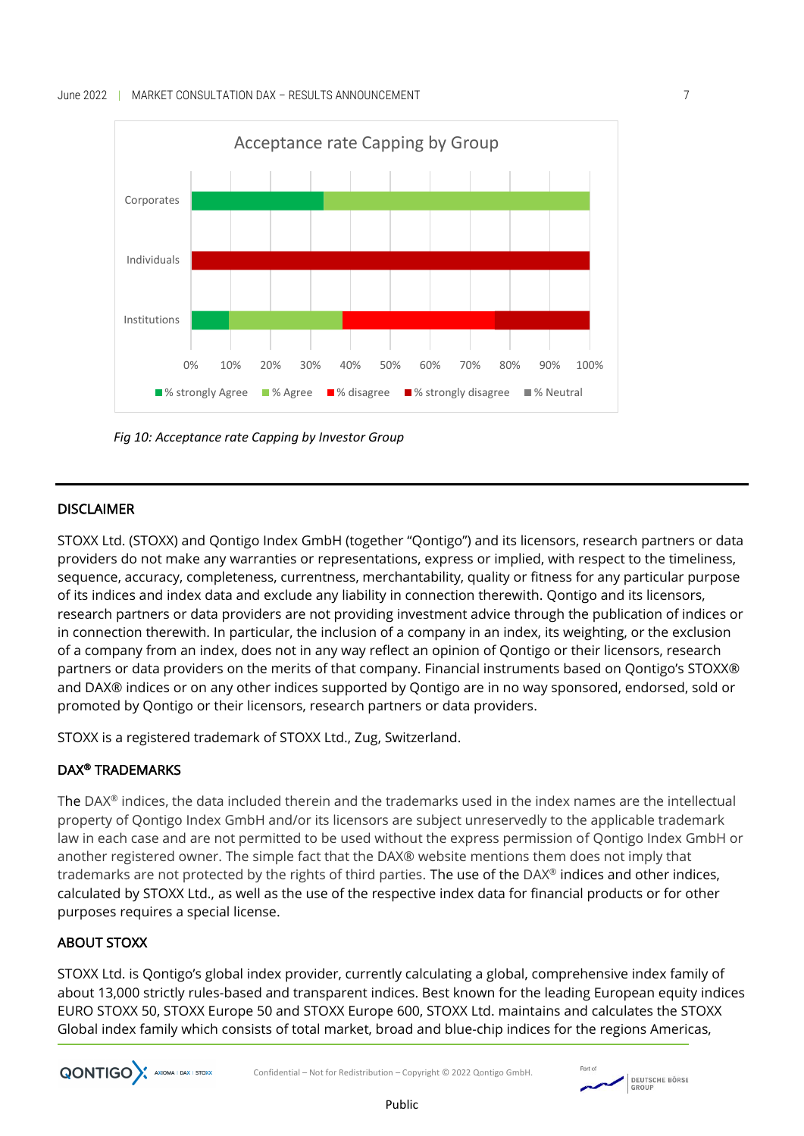

*Fig 10: Acceptance rate Capping by Investor Group*

### DISCLAIMER

STOXX Ltd. (STOXX) and Qontigo Index GmbH (together "Qontigo") and its licensors, research partners or data providers do not make any warranties or representations, express or implied, with respect to the timeliness, sequence, accuracy, completeness, currentness, merchantability, quality or fitness for any particular purpose of its indices and index data and exclude any liability in connection therewith. Qontigo and its licensors, research partners or data providers are not providing investment advice through the publication of indices or in connection therewith. In particular, the inclusion of a company in an index, its weighting, or the exclusion of a company from an index, does not in any way reflect an opinion of Qontigo or their licensors, research partners or data providers on the merits of that company. Financial instruments based on Qontigo's STOXX® and DAX® indices or on any other indices supported by Qontigo are in no way sponsored, endorsed, sold or promoted by Qontigo or their licensors, research partners or data providers.

STOXX is a registered trademark of STOXX Ltd., Zug, Switzerland.

### DAX® TRADEMARKS

The DAX® indices, the data included therein and the trademarks used in the index names are the intellectual property of Qontigo Index GmbH and/or its licensors are subject unreservedly to the applicable trademark law in each case and are not permitted to be used without the express permission of Qontigo Index GmbH or another registered owner. The simple fact that the DAX® website mentions them does not imply that trademarks are not protected by the rights of third parties. The use of the DAX® indices and other indices, calculated by STOXX Ltd., as well as the use of the respective index data for financial products or for other purposes requires a special license.

### ABOUT STOXX

**QONTIGO** AXIOMA I DAX I STOXX

STOXX Ltd. is Qontigo's global index provider, currently calculating a global, comprehensive index family of about 13,000 strictly rules-based and transparent indices. Best known for the leading European equity indices EURO STOXX 50, STOXX Europe 50 and STOXX Europe 600, STOXX Ltd. maintains and calculates the STOXX Global index family which consists of total market, broad and blue-chip indices for the regions Americas,